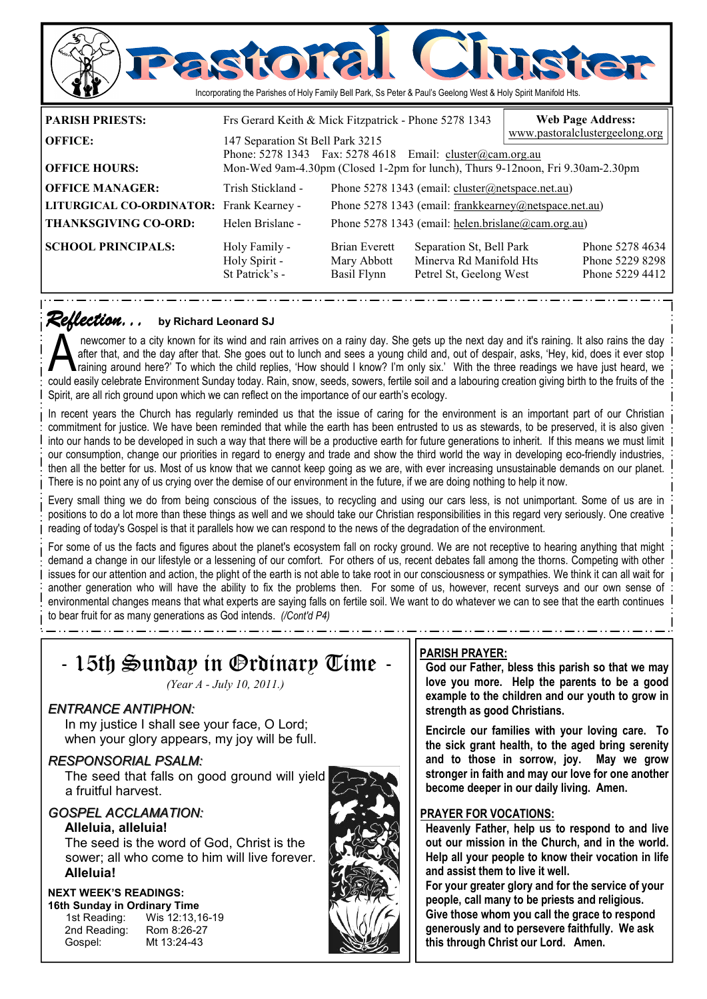

*Reflection... Reflection...* **by Richard Leonard SJ**

newcomer to a city known for its wind and rain arrives on a rainy day. She gets up the next day and it's raining. It also rains the day<br>after that, and the day after that. She goes out to lunch and sees a young child and, after that, and the day after that. She goes out to lunch and sees a young child and, out of despair, asks, 'Hey, kid, does it ever stop could easily celebrate Environment Sunday today. Rain, snow, seeds, sowers, fertile soil and a labouring creation giving birth to the fruits of the Spirit, are all rich ground upon which we can reflect on the importance of our earth's ecology.

In recent years the Church has regularly reminded us that the issue of caring for the environment is an important part of our Christian commitment for justice. We have been reminded that while the earth has been entrusted to us as stewards, to be preserved, it is also given into our hands to be developed in such a way that there will be a productive earth for future generations to inherit. If this means we must limit our consumption, change our priorities in regard to energy and trade and show the third world the way in developing eco-friendly industries, then all the better for us. Most of us know that we cannot keep going as we are, with ever increasing unsustainable demands on our planet. There is no point any of us crying over the demise of our environment in the future, if we are doing nothing to help it now.

Every small thing we do from being conscious of the issues, to recycling and using our cars less, is not unimportant. Some of us are in positions to do a lot more than these things as well and we should take our Christian responsibilities in this regard very seriously. One creative reading of today's Gospel is that it parallels how we can respond to the news of the degradation of the environment.

For some of us the facts and figures about the planet's ecosystem fall on rocky ground. We are not receptive to hearing anything that might demand a change in our lifestyle or a lessening of our comfort. For others of us, recent debates fall among the thorns. Competing with other issues for our attention and action, the plight of the earth is not able to take root in our consciousness or sympathies. We think it can all wait for another generation who will have the ability to fix the problems then. For some of us, however, recent surveys and our own sense of environmental changes means that what experts are saying falls on fertile soil. We want to do whatever we can to see that the earth continues to bear fruit for as many generations as God intends. *(/Cont'd P4)* 

## - 15th Sunday in Ordinary Time - *(Year A - July 10, 2011.) ENTRANCE ANTIPHON:*  In my justice I shall see your face, O Lord; when your glory appears, my joy will be full. *RESPONSORIAL PSALM:* The seed that falls on good ground will yield a fruitful harvest. *GOSPEL ACCLAMATION:* **Alleluia, alleluia!**  The seed is the word of God, Christ is the

sower; all who come to him will live forever. **Alleluia!** 

### **NEXT WEEK'S READINGS:**

**16th Sunday in Ordinary Time**  2nd Reading: Gospel: Mt 13:24-43

1st Reading: Wis 12:13,16-19<br>2nd Reading: Rom 8:26-27



### **PARISH PRAYER:**

**God our Father, bless this parish so that we may love you more. Help the parents to be a good example to the children and our youth to grow in strength as good Christians.** 

**Encircle our families with your loving care. To the sick grant health, to the aged bring serenity and to those in sorrow, joy. May we grow stronger in faith and may our love for one another become deeper in our daily living. Amen.** 

### **PRAYER FOR VOCATIONS:**

**Heavenly Father, help us to respond to and live out our mission in the Church, and in the world. Help all your people to know their vocation in life and assist them to live it well.** 

**For your greater glory and for the service of your people, call many to be priests and religious. Give those whom you call the grace to respond** 

**generously and to persevere faithfully. We ask this through Christ our Lord. Amen.**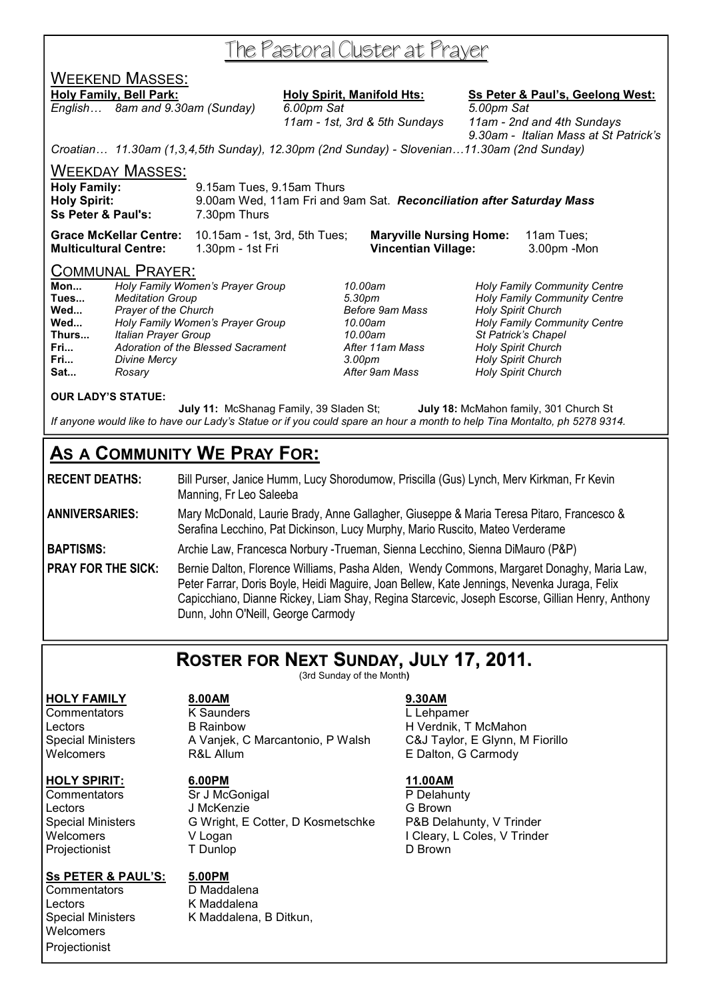# The Pastoral Cluster at Prayer

## WEEKEND MASSES:

### Holy Family, Bell Park: Holy Spirit, Manifold Hts: Ss Peter & Paul's, Geelong West:

*English… 8am and 9.30am (Sunday) 6.00pm Sat 5.00pm Sat* 

 *11am - 1st, 3rd & 5th Sundays 11am - 2nd and 4th Sundays 9.30am - Italian Mass at St Patrick's* 

*Croatian… 11.30am (1,3,4,5th Sunday), 12.30pm (2nd Sunday) - Slovenian…11.30am (2nd Sunday)* 

WEEKDAY MASSES:

| <b>Holy Family:</b>           | 9.15am Tues, 9.15am Thurs                                            |
|-------------------------------|----------------------------------------------------------------------|
| <b>Holy Spirit:</b>           | 9.00am Wed, 11am Fri and 9am Sat. Reconciliation after Saturday Mass |
| <b>Ss Peter &amp; Paul's:</b> | 7.30pm Thurs                                                         |

**Grace McKellar Centre:** 10.15am - 1st, 3rd, 5th Tues; **Maryville Nursing Home:** 11am Tues; **Multicultural Centre:** 1.30pm - 1st Fri **Vincentian Village:** 3.00pm -Mon

### COMMUNAL PRAYER:

| Mon   | Holy Family Women's Prayer Group   |
|-------|------------------------------------|
| Tues  | <b>Meditation Group</b>            |
| Wed   | <b>Prayer of the Church</b>        |
| Wed   | Holy Family Women's Prayer Group   |
| Thurs | <b>Italian Prayer Group</b>        |
| Fri   | Adoration of the Blessed Sacrament |
| Fri   | Divine Mercy                       |
| Sat   | Rosary                             |

**Wed...** *Prayer of the Church Before 9am Mass Holy Spirit Church*  **Fri...** *Divine Mercy 3.00pm Holy Spirit Church* 

**Mon...** *Holy Family Women's Prayer Group 10.00am Holy Family Community Centre*  **Tues...** *Meditation Group 5.30pm Holy Family Community Centre*  **Wed...** *Holy Family Women's Prayer Group 10.00am Holy Family Community Centre*  **Thurs...** *Italian Prayer Group 10.00am St Patrick's Chapel*  **Holy Spirit Church Sat...** *Rosary After 9am Mass Holy Spirit Church* 

### **OUR LADY'S STATUE:**

 **July 11:** McShanag Family, 39 Sladen St; **July 18:** McMahon family, 301 Church St *If anyone would like to have our Lady's Statue or if you could spare an hour a month to help Tina Montalto, ph 5278 9314.* 

## **AS A COMMUNITY WE PRAY FOR:**

**RECENT DEATHS:** Bill Purser, Janice Humm, Lucy Shorodumow, Priscilla (Gus) Lynch, Merv Kirkman, Fr Kevin Manning, Fr Leo Saleeba

**ANNIVERSARIES:** Mary McDonald, Laurie Brady, Anne Gallagher, Giuseppe & Maria Teresa Pitaro, Francesco & Serafina Lecchino, Pat Dickinson, Lucy Murphy, Mario Ruscito, Mateo Verderame

**BAPTISMS:** Archie Law, Francesca Norbury -Trueman, Sienna Lecchino, Sienna DiMauro (P&P)

**PRAY FOR THE SICK:** Bernie Dalton, Florence Williams, Pasha Alden, Wendy Commons, Margaret Donaghy, Maria Law, Peter Farrar, Doris Boyle, Heidi Maguire, Joan Bellew, Kate Jennings, Nevenka Juraga, Felix Capicchiano, Dianne Rickey, Liam Shay, Regina Starcevic, Joseph Escorse, Gillian Henry, Anthony Dunn, John O'Neill, George Carmody

## **ROSTER FOR NEXT SUNDAY, JULY 17, 2011.**

(3rd Sunday of the Month**)** 

### **HOLY FAMILY 8.00AM 9.30AM**

### **HOLY SPIRIT: 6.00PM 11.00AM**

Projectionist

### **Ss PETER & PAUL'S: 5.00PM**

Commentators D Maddalena Lectors **K** Maddalena<br>
Special Ministers **K** Maddalena **Welcomers Projectionist** 

Commentators K Saunders L Lehpamer Lectors B Rainbow H Verdnik, T McMahon<br>Special Ministers A Vanjek, C Marcantonio, P Walsh C&J Taylor, E Glynn, M Fiorillo Special Ministers A Vanjek, C Marcantonio, P Walsh Welcomers **R&L Allum** R&L Allum **E Dalton, G Carmody** 

Commentators Sr J McGonigal P Delahunty Lectors J McKenzie G Brown Special Ministers G Wright, E Cotter, D Kosmetschke P&B Delahunty, V Trinder Welcomers V Logan V Logan V Logan I Cleary, L Coles, V Trinder<br>
Projectionist T Dunlop D Brown

K Maddalena, B Ditkun,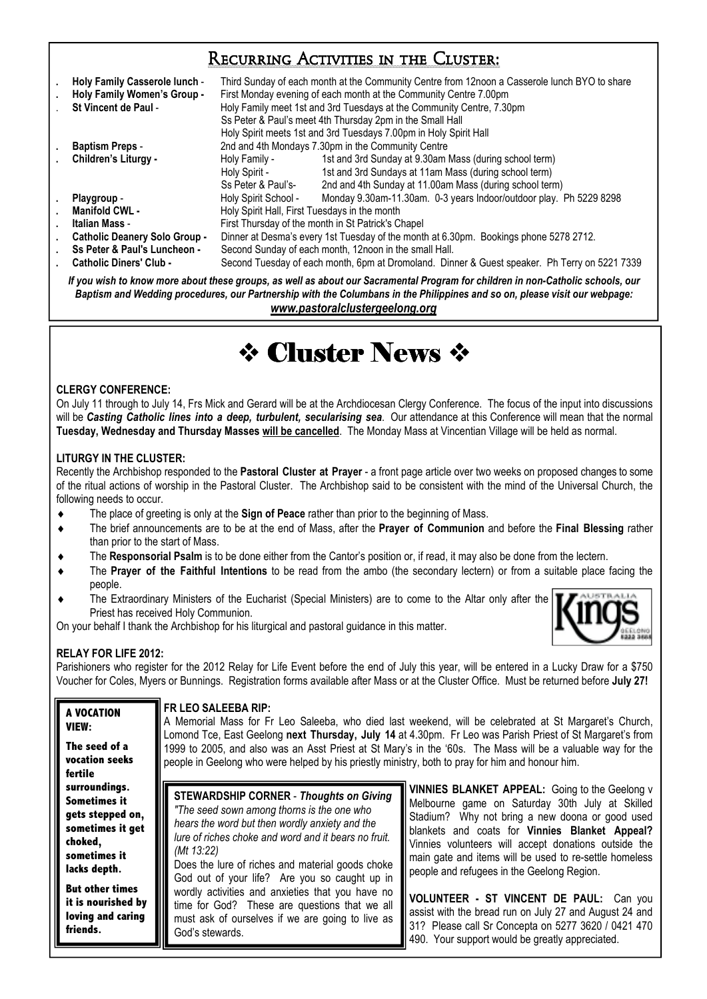## Recurring Activities in the Cluster:

| Holy Family Casserole lunch -<br>Holy Family Women's Group -<br>St Vincent de Paul - | Third Sunday of each month at the Community Centre from 12noon a Casserole lunch BYO to share<br>First Monday evening of each month at the Community Centre 7.00pm<br>Holy Family meet 1st and 3rd Tuesdays at the Community Centre, 7.30pm<br>Ss Peter & Paul's meet 4th Thursday 2pm in the Small Hall<br>Holy Spirit meets 1st and 3rd Tuesdays 7.00pm in Holy Spirit Hall |                                                                    |  |
|--------------------------------------------------------------------------------------|-------------------------------------------------------------------------------------------------------------------------------------------------------------------------------------------------------------------------------------------------------------------------------------------------------------------------------------------------------------------------------|--------------------------------------------------------------------|--|
| <b>Baptism Preps -</b>                                                               | 2nd and 4th Mondays 7.30pm in the Community Centre                                                                                                                                                                                                                                                                                                                            |                                                                    |  |
| Children's Liturgy -                                                                 | Holy Family -                                                                                                                                                                                                                                                                                                                                                                 | 1st and 3rd Sunday at 9.30am Mass (during school term)             |  |
|                                                                                      | Holy Spirit -                                                                                                                                                                                                                                                                                                                                                                 | 1st and 3rd Sundays at 11am Mass (during school term)              |  |
|                                                                                      | Ss Peter & Paul's-                                                                                                                                                                                                                                                                                                                                                            | 2nd and 4th Sunday at 11.00am Mass (during school term)            |  |
| Playgroup -                                                                          | Holy Spirit School -                                                                                                                                                                                                                                                                                                                                                          | Monday 9.30am-11.30am. 0-3 years Indoor/outdoor play. Ph 5229 8298 |  |
| <b>Manifold CWL -</b>                                                                | Holy Spirit Hall, First Tuesdays in the month                                                                                                                                                                                                                                                                                                                                 |                                                                    |  |
| Italian Mass -                                                                       | First Thursday of the month in St Patrick's Chapel                                                                                                                                                                                                                                                                                                                            |                                                                    |  |
| <b>Catholic Deanery Solo Group -</b>                                                 | Dinner at Desma's every 1st Tuesday of the month at 6.30pm. Bookings phone 5278 2712.                                                                                                                                                                                                                                                                                         |                                                                    |  |
| Ss Peter & Paul's Luncheon -                                                         | Second Sunday of each month, 12noon in the small Hall.                                                                                                                                                                                                                                                                                                                        |                                                                    |  |
| <b>Catholic Diners' Club -</b>                                                       | Second Tuesday of each month, 6pm at Dromoland. Dinner & Guest speaker. Ph Terry on 5221 7339                                                                                                                                                                                                                                                                                 |                                                                    |  |

*If you wish to know more about these groups, as well as about our Sacramental Program for children in non-Catholic schools, our Baptism and Wedding procedures, our Partnership with the Columbans in the Philippines and so on, please visit our webpage: www.pastoralclustergeelong.org*

# **† Cluster News †**

### **CLERGY CONFERENCE:**

On July 11 through to July 14, Frs Mick and Gerard will be at the Archdiocesan Clergy Conference. The focus of the input into discussions will be *Casting Catholic lines into a deep, turbulent, secularising sea*. Our attendance at this Conference will mean that the normal **Tuesday, Wednesday and Thursday Masses will be cancelled**. The Monday Mass at Vincentian Village will be held as normal.

### **LITURGY IN THE CLUSTER:**

Recently the Archbishop responded to the **Pastoral Cluster at Prayer** - a front page article over two weeks on proposed changes to some of the ritual actions of worship in the Pastoral Cluster. The Archbishop said to be consistent with the mind of the Universal Church, the following needs to occur.

- The place of greeting is only at the **Sign of Peace** rather than prior to the beginning of Mass.
- The brief announcements are to be at the end of Mass, after the **Prayer of Communion** and before the **Final Blessing** rather than prior to the start of Mass.
- The **Responsorial Psalm** is to be done either from the Cantor's position or, if read, it may also be done from the lectern.
- The **Prayer of the Faithful Intentions** to be read from the ambo (the secondary lectern) or from a suitable place facing the people.
- The Extraordinary Ministers of the Eucharist (Special Ministers) are to come to the Altar only after the Priest has received Holy Communion.

On your behalf I thank the Archbishop for his liturgical and pastoral guidance in this matter.



490. Your support would be greatly appreciated.

### **RELAY FOR LIFE 2012:**

Parishioners who register for the 2012 Relay for Life Event before the end of July this year, will be entered in a Lucky Draw for a \$750 Voucher for Coles, Myers or Bunnings. Registration forms available after Mass or at the Cluster Office. Must be returned before **July 27!** 

| A VOCATION                                                                    | I FR LEO SALEEBA RIP:                                                                                                                                                    |                                                                                                                                                          |  |  |  |
|-------------------------------------------------------------------------------|--------------------------------------------------------------------------------------------------------------------------------------------------------------------------|----------------------------------------------------------------------------------------------------------------------------------------------------------|--|--|--|
| VIEW:                                                                         | A Memorial Mass for Fr Leo Saleeba, who died last weekend, will be celebrated at St Margaret's Church,                                                                   |                                                                                                                                                          |  |  |  |
| The seed of a                                                                 | Lomond Tce, East Geelong next Thursday, July 14 at 4.30pm. Fr Leo was Parish Priest of St Margaret's from                                                                |                                                                                                                                                          |  |  |  |
| vocation seeks                                                                | 1999 to 2005, and also was an Asst Priest at St Mary's in the '60s. The Mass will be a valuable way for the                                                              |                                                                                                                                                          |  |  |  |
| fertile                                                                       | people in Geelong who were helped by his priestly ministry, both to pray for him and honour him.                                                                         |                                                                                                                                                          |  |  |  |
| surroundings.                                                                 | <b>STEWARDSHIP CORNER - Thoughts on Giving</b>                                                                                                                           | <b>VINNIES BLANKET APPEAL:</b> Going to the Geelong v                                                                                                    |  |  |  |
| <b>Sometimes it</b>                                                           | "The seed sown among thorns is the one who                                                                                                                               | Melbourne game on Saturday 30th July at Skilled                                                                                                          |  |  |  |
| gets stepped on,                                                              | hears the word but then wordly anxiety and the                                                                                                                           | Stadium? Why not bring a new doona or good used                                                                                                          |  |  |  |
| sometimes it get                                                              | lure of riches choke and word and it bears no fruit.                                                                                                                     | blankets and coats for Vinnies Blanket Appeal?                                                                                                           |  |  |  |
| choked,                                                                       | (Mt 13:22)                                                                                                                                                               | Vinnies volunteers will accept donations outside the                                                                                                     |  |  |  |
| sometimes it                                                                  | Does the lure of riches and material goods choke                                                                                                                         | main gate and items will be used to re-settle homeless                                                                                                   |  |  |  |
| lacks depth.                                                                  | God out of your life? Are you so caught up in                                                                                                                            | people and refugees in the Geelong Region.                                                                                                               |  |  |  |
| <b>But other times</b><br>it is nourished by<br>loving and caring<br>friends. | wordly activities and anxieties that you have no<br>time for God? These are questions that we all<br>must ask of ourselves if we are going to live as<br>God's stewards. | VOLUNTEER - ST VINCENT DE PAUL: Can you<br>assist with the bread run on July 27 and August 24 and<br>31? Please call Sr Concepta on 5277 3620 / 0421 470 |  |  |  |